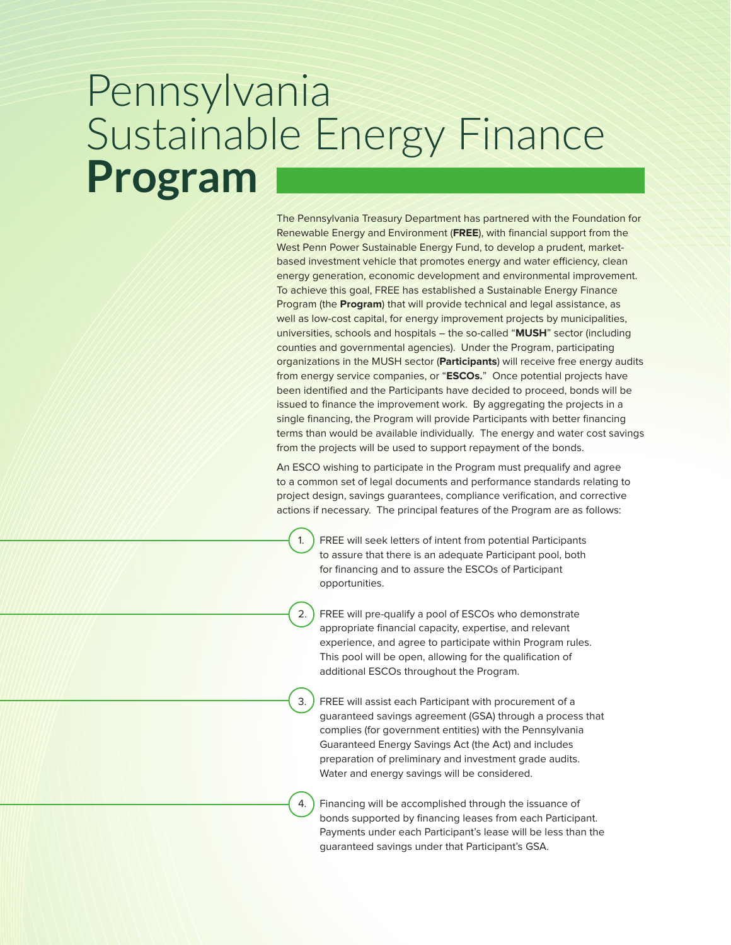### Pennsylvania Sustainable Energy Finance **Program**

The Pennsylvania Treasury Department has partnered with the Foundation for Renewable Energy and Environment (**FREE**), with financial support from the West Penn Power Sustainable Energy Fund, to develop a prudent, marketbased investment vehicle that promotes energy and water efficiency, clean energy generation, economic development and environmental improvement. To achieve this goal, FREE has established a Sustainable Energy Finance Program (the **Program**) that will provide technical and legal assistance, as well as low-cost capital, for energy improvement projects by municipalities, universities, schools and hospitals – the so-called "**MUSH**" sector (including counties and governmental agencies). Under the Program, participating organizations in the MUSH sector (**Participants**) will receive free energy audits from energy service companies, or "**ESCOs.**" Once potential projects have been identified and the Participants have decided to proceed, bonds will be issued to finance the improvement work. By aggregating the projects in a single financing, the Program will provide Participants with better financing terms than would be available individually. The energy and water cost savings from the projects will be used to support repayment of the bonds.

An ESCO wishing to participate in the Program must prequalify and agree to a common set of legal documents and performance standards relating to project design, savings guarantees, compliance verification, and corrective actions if necessary. The principal features of the Program are as follows:

1. FREE will seek letters of intent from potential Participants to assure that there is an adequate Participant pool, both for financing and to assure the ESCOs of Participant opportunities.

2. FREE will pre-qualify a pool of ESCOs who demonstrate appropriate financial capacity, expertise, and relevant experience, and agree to participate within Program rules. This pool will be open, allowing for the qualification of additional ESCOs throughout the Program.

3. FREE will assist each Participant with procurement of a guaranteed savings agreement (GSA) through a process that complies (for government entities) with the Pennsylvania Guaranteed Energy Savings Act (the Act) and includes preparation of preliminary and investment grade audits. Water and energy savings will be considered.

4. Financing will be accomplished through the issuance of bonds supported by financing leases from each Participant. Payments under each Participant's lease will be less than the guaranteed savings under that Participant's GSA.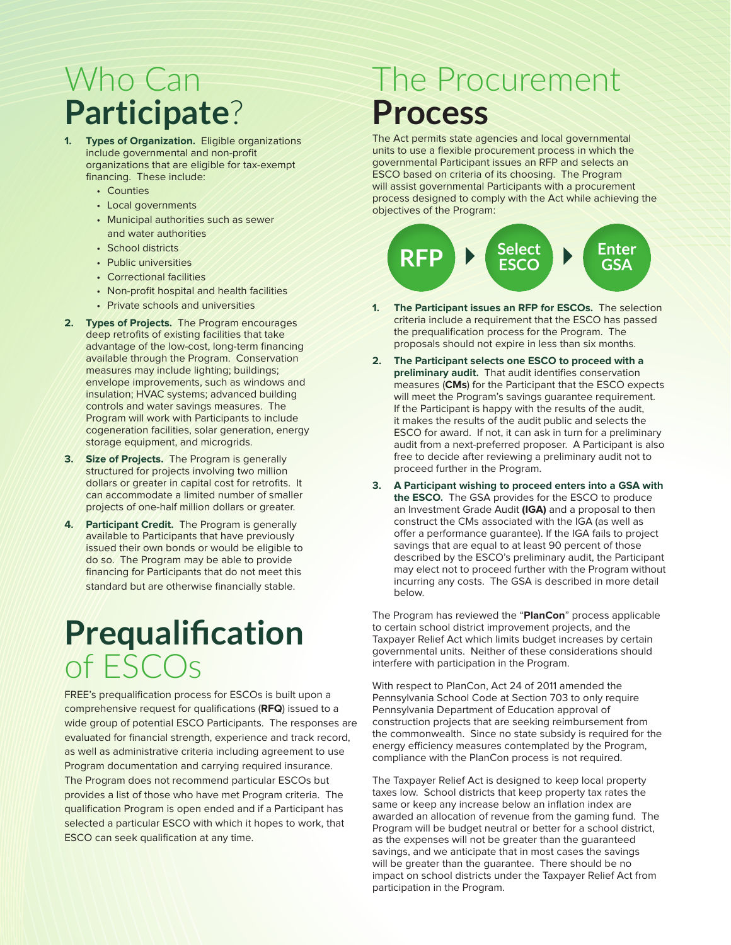#### Who Can **Participate**?

- **1. Types of Organization.** Eligible organizations include governmental and non-profit organizations that are eligible for tax-exempt financing. These include:
	- Counties
	- Local governments
	- Municipal authorities such as sewer and water authorities
	- School districts
	- Public universities
	- Correctional facilities
	- Non-profit hospital and health facilities
	- Private schools and universities
- **2. Types of Projects.** The Program encourages deep retrofits of existing facilities that take advantage of the low-cost, long-term financing available through the Program. Conservation measures may include lighting; buildings; envelope improvements, such as windows and insulation; HVAC systems; advanced building controls and water savings measures. The Program will work with Participants to include cogeneration facilities, solar generation, energy storage equipment, and microgrids.
- **3. Size of Projects.** The Program is generally structured for projects involving two million dollars or greater in capital cost for retrofits. It can accommodate a limited number of smaller projects of one-half million dollars or greater.
- **4. Participant Credit.** The Program is generally available to Participants that have previously issued their own bonds or would be eligible to do so. The Program may be able to provide financing for Participants that do not meet this standard but are otherwise financially stable.

## **Prequalification** of ESCOs

FREE's prequalification process for ESCOs is built upon a comprehensive request for qualifications (**RFQ**) issued to a wide group of potential ESCO Participants. The responses are evaluated for financial strength, experience and track record, as well as administrative criteria including agreement to use Program documentation and carrying required insurance. The Program does not recommend particular ESCOs but provides a list of those who have met Program criteria. The qualification Program is open ended and if a Participant has selected a particular ESCO with which it hopes to work, that ESCO can seek qualification at any time.

#### The Procurement **Process**

The Act permits state agencies and local governmental units to use a flexible procurement process in which the governmental Participant issues an RFP and selects an ESCO based on criteria of its choosing. The Program will assist governmental Participants with a procurement process designed to comply with the Act while achieving the objectives of the Program:



- **1. The Participant issues an RFP for ESCOs.** The selection criteria include a requirement that the ESCO has passed the prequalification process for the Program. The proposals should not expire in less than six months.
- **2. The Participant selects one ESCO to proceed with a preliminary audit.** That audit identifies conservation measures (**CMs**) for the Participant that the ESCO expects will meet the Program's savings guarantee requirement. If the Participant is happy with the results of the audit, it makes the results of the audit public and selects the ESCO for award. If not, it can ask in turn for a preliminary audit from a next-preferred proposer. A Participant is also free to decide after reviewing a preliminary audit not to proceed further in the Program.
- **3. A Participant wishing to proceed enters into a GSA with the ESCO.** The GSA provides for the ESCO to produce an Investment Grade Audit **(IGA)** and a proposal to then construct the CMs associated with the IGA (as well as offer a performance guarantee). If the IGA fails to project savings that are equal to at least 90 percent of those described by the ESCO's preliminary audit, the Participant may elect not to proceed further with the Program without incurring any costs. The GSA is described in more detail below.

The Program has reviewed the "**PlanCon**" process applicable to certain school district improvement projects, and the Taxpayer Relief Act which limits budget increases by certain governmental units. Neither of these considerations should interfere with participation in the Program.

With respect to PlanCon, Act 24 of 2011 amended the Pennsylvania School Code at Section 703 to only require Pennsylvania Department of Education approval of construction projects that are seeking reimbursement from the commonwealth. Since no state subsidy is required for the energy efficiency measures contemplated by the Program, compliance with the PlanCon process is not required.

The Taxpayer Relief Act is designed to keep local property taxes low. School districts that keep property tax rates the same or keep any increase below an inflation index are awarded an allocation of revenue from the gaming fund. The Program will be budget neutral or better for a school district, as the expenses will not be greater than the guaranteed savings, and we anticipate that in most cases the savings will be greater than the guarantee. There should be no impact on school districts under the Taxpayer Relief Act from participation in the Program.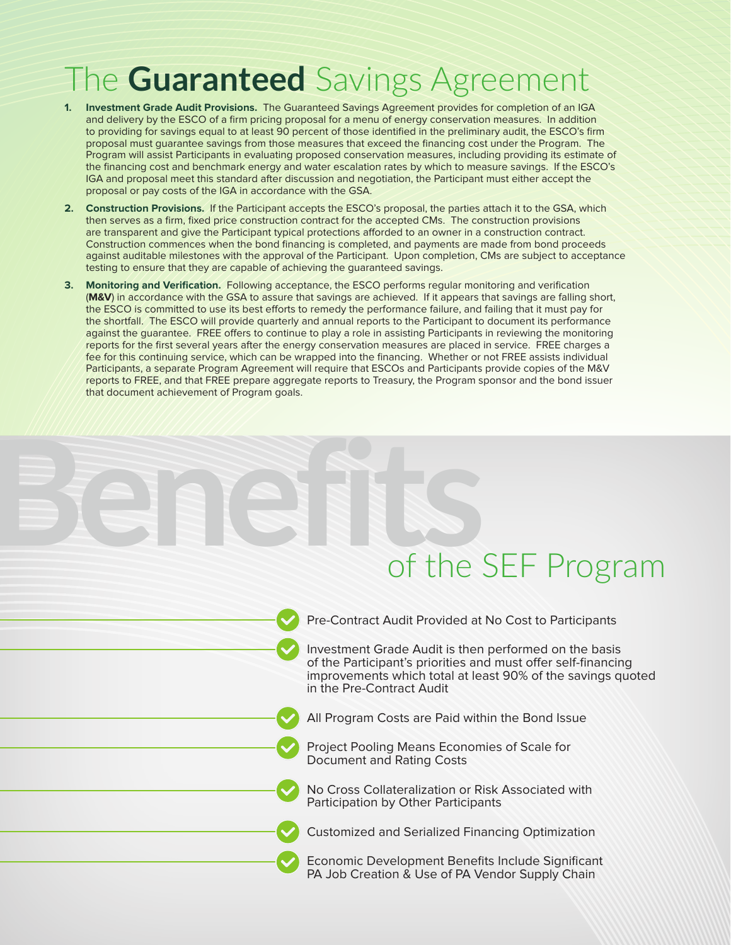#### The **Guaranteed** Savings Agreement

- **1. Investment Grade Audit Provisions.** The Guaranteed Savings Agreement provides for completion of an IGA and delivery by the ESCO of a firm pricing proposal for a menu of energy conservation measures. In addition to providing for savings equal to at least 90 percent of those identified in the preliminary audit, the ESCO's firm proposal must guarantee savings from those measures that exceed the financing cost under the Program. The Program will assist Participants in evaluating proposed conservation measures, including providing its estimate of the financing cost and benchmark energy and water escalation rates by which to measure savings. If the ESCO's IGA and proposal meet this standard after discussion and negotiation, the Participant must either accept the proposal or pay costs of the IGA in accordance with the GSA.
- **2. Construction Provisions.** If the Participant accepts the ESCO's proposal, the parties attach it to the GSA, which then serves as a firm, fixed price construction contract for the accepted CMs. The construction provisions are transparent and give the Participant typical protections afforded to an owner in a construction contract. Construction commences when the bond financing is completed, and payments are made from bond proceeds against auditable milestones with the approval of the Participant. Upon completion, CMs are subject to acceptance testing to ensure that they are capable of achieving the guaranteed savings.
- **3. Monitoring and Verification.** Following acceptance, the ESCO performs regular monitoring and verification (**M&V**) in accordance with the GSA to assure that savings are achieved. If it appears that savings are falling short, the ESCO is committed to use its best efforts to remedy the performance failure, and failing that it must pay for the shortfall. The ESCO will provide quarterly and annual reports to the Participant to document its performance against the guarantee. FREE offers to continue to play a role in assisting Participants in reviewing the monitoring reports for the first several years after the energy conservation measures are placed in service. FREE charges a fee for this continuing service, which can be wrapped into the financing. Whether or not FREE assists individual Participants, a separate Program Agreement will require that ESCOs and Participants provide copies of the M&V reports to FREE, and that FREE prepare aggregate reports to Treasury, the Program sponsor and the bond issuer that document achievement of Program goals.

# **BENEFITS** of the SEF Program